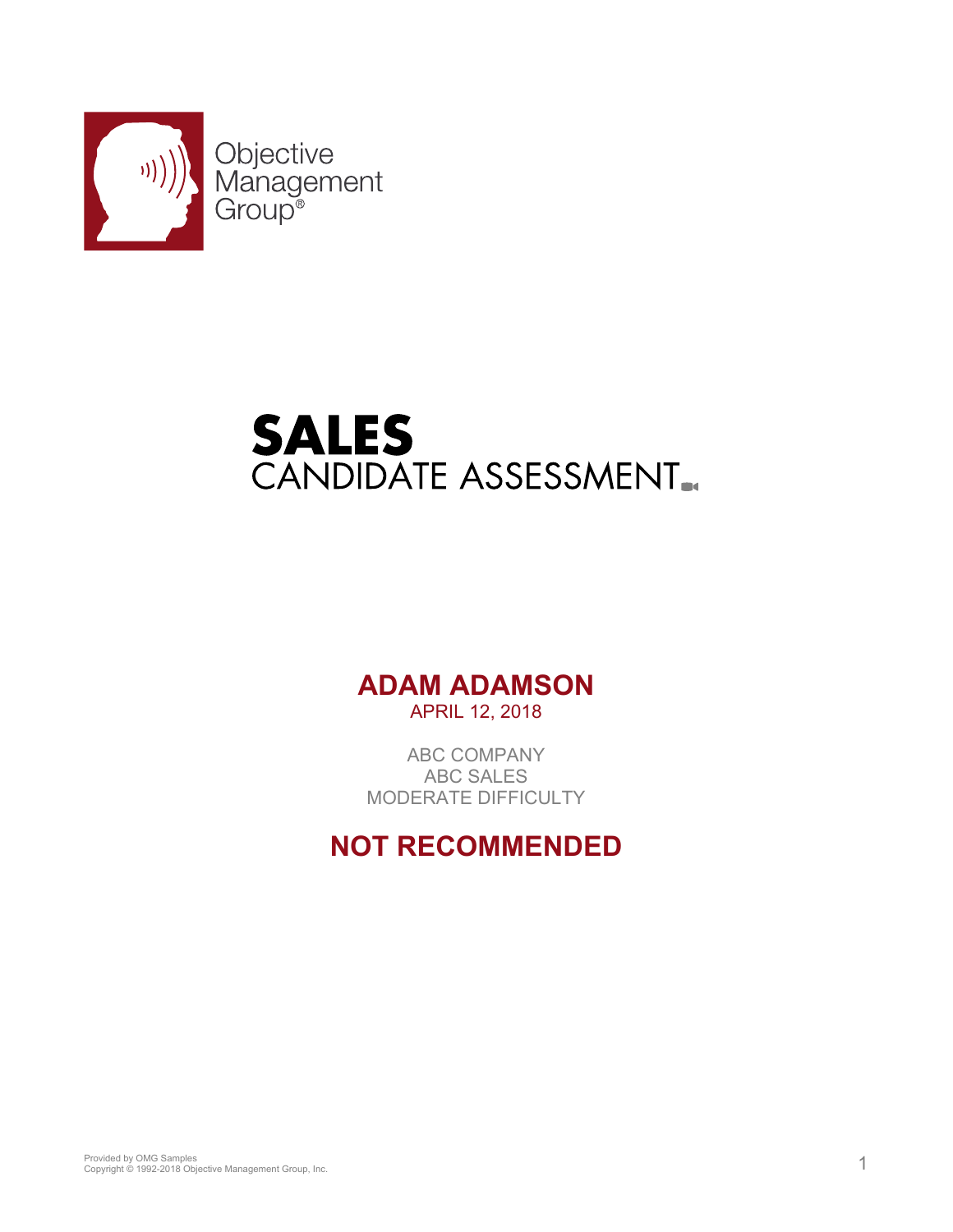

# **SALES**<br>CANDIDATE ASSESSMENT.

# **ADAM ADAMSON** APRIL 12, 2018

ABC COMPANY ABC SALES MODERATE DIFFICULTY

# **NOT RECOMMENDED**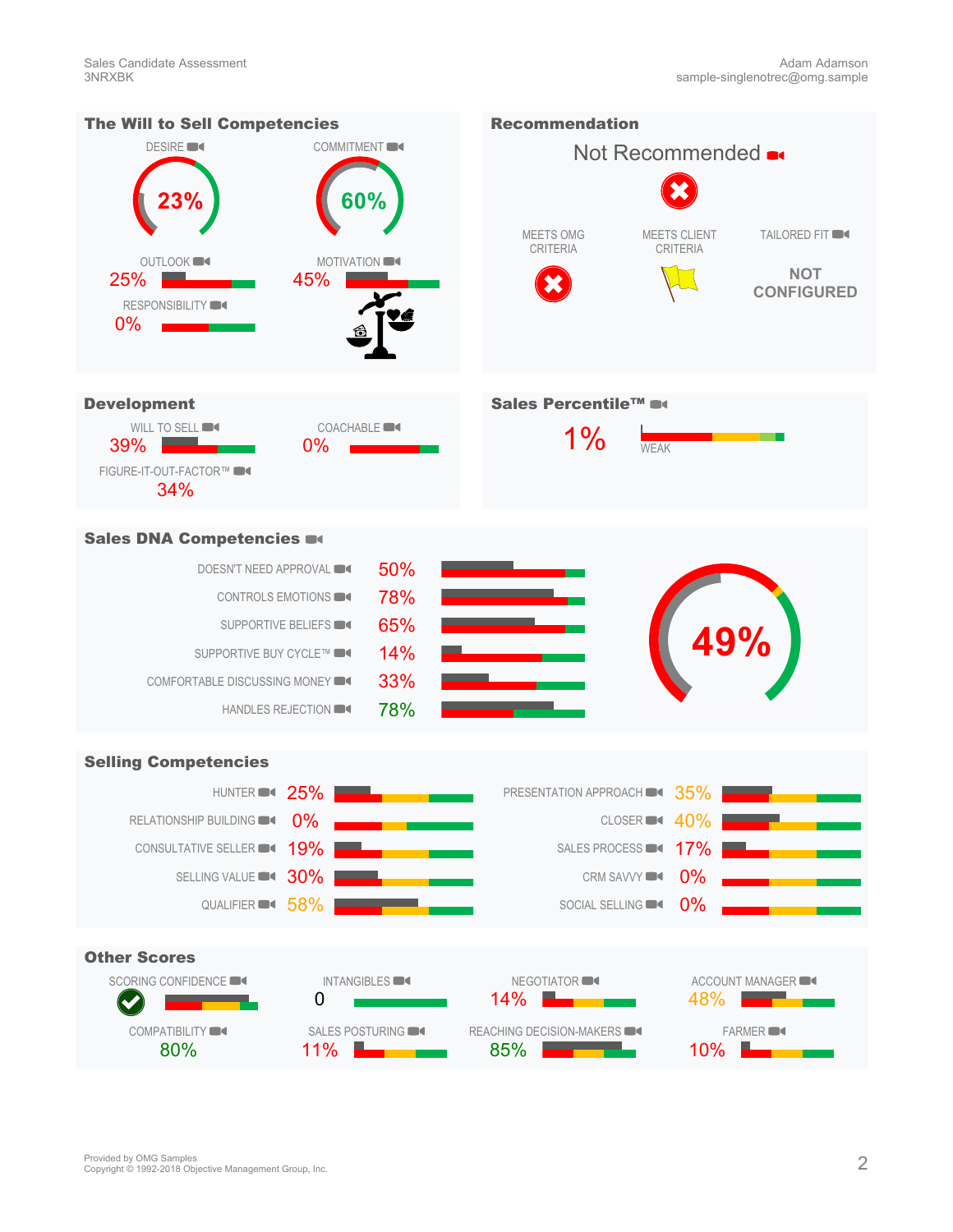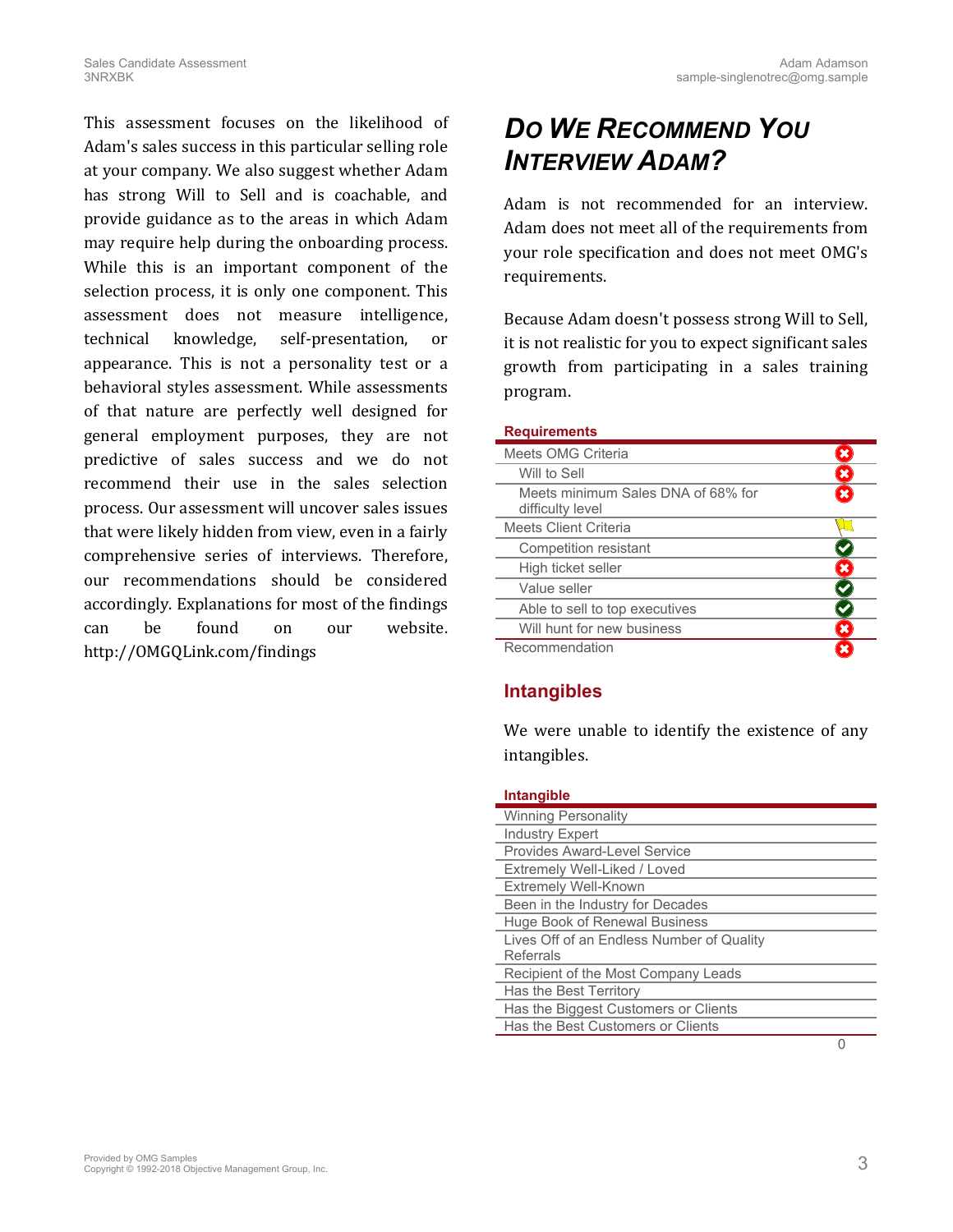This assessment focuses on the likelihood of Adam's sales success in this particular selling role at your company. We also suggest whether Adam has strong Will to Sell and is coachable, and provide guidance as to the areas in which Adam may require help during the onboarding process. While this is an important component of the selection process, it is only one component. This assessment does not measure intelligence, technical knowledge, self-presentation, or appearance. This is not a personality test or a behavioral styles assessment. While assessments of that nature are perfectly well designed for general employment purposes, they are not predictive of sales success and we do not recommend their use in the sales selection process. Our assessment will uncover sales issues that were likely hidden from view, even in a fairly comprehensive series of interviews. Therefore, our recommendations should be considered accordingly. Explanations for most of the findings can be found on our website. [http://OMGQLink.com/findings](http://omgqlink.com/findings)

# *DO WE RECOMMEND YOU INTERVIEW ADAM?*

Adam is not recommended for an interview. Adam does not meet all of the requirements from your role specification and does not meet OMG's requirements.

Because Adam doesn't possess strong Will to Sell, it is not realistic for you to expect significant sales growth from participating in a sales training program.

|  |  | <b>Requirements</b> |  |
|--|--|---------------------|--|
|  |  |                     |  |

| Meets OMG Criteria                                     |   |
|--------------------------------------------------------|---|
| Will to Sell                                           |   |
| Meets minimum Sales DNA of 68% for<br>difficulty level |   |
| Meets Client Criteria                                  |   |
| <b>Competition resistant</b>                           |   |
| High ticket seller                                     | × |
| Value seller                                           |   |
| Able to sell to top executives                         |   |
| Will hunt for new business                             |   |
| Recommendation                                         |   |

### **Intangibles**

We were unable to identify the existence of any intangibles.

### <span id="page-2-0"></span>**Intangible**

| <b>Winning Personality</b>                |
|-------------------------------------------|
| <b>Industry Expert</b>                    |
| Provides Award-Level Service              |
| Extremely Well-Liked / Loved              |
| <b>Extremely Well-Known</b>               |
| Been in the Industry for Decades          |
| Huge Book of Renewal Business             |
| Lives Off of an Endless Number of Quality |
| Referrals                                 |
| Recipient of the Most Company Leads       |
| Has the Best Territory                    |
| Has the Biggest Customers or Clients      |
| Has the Best Customers or Clients         |
|                                           |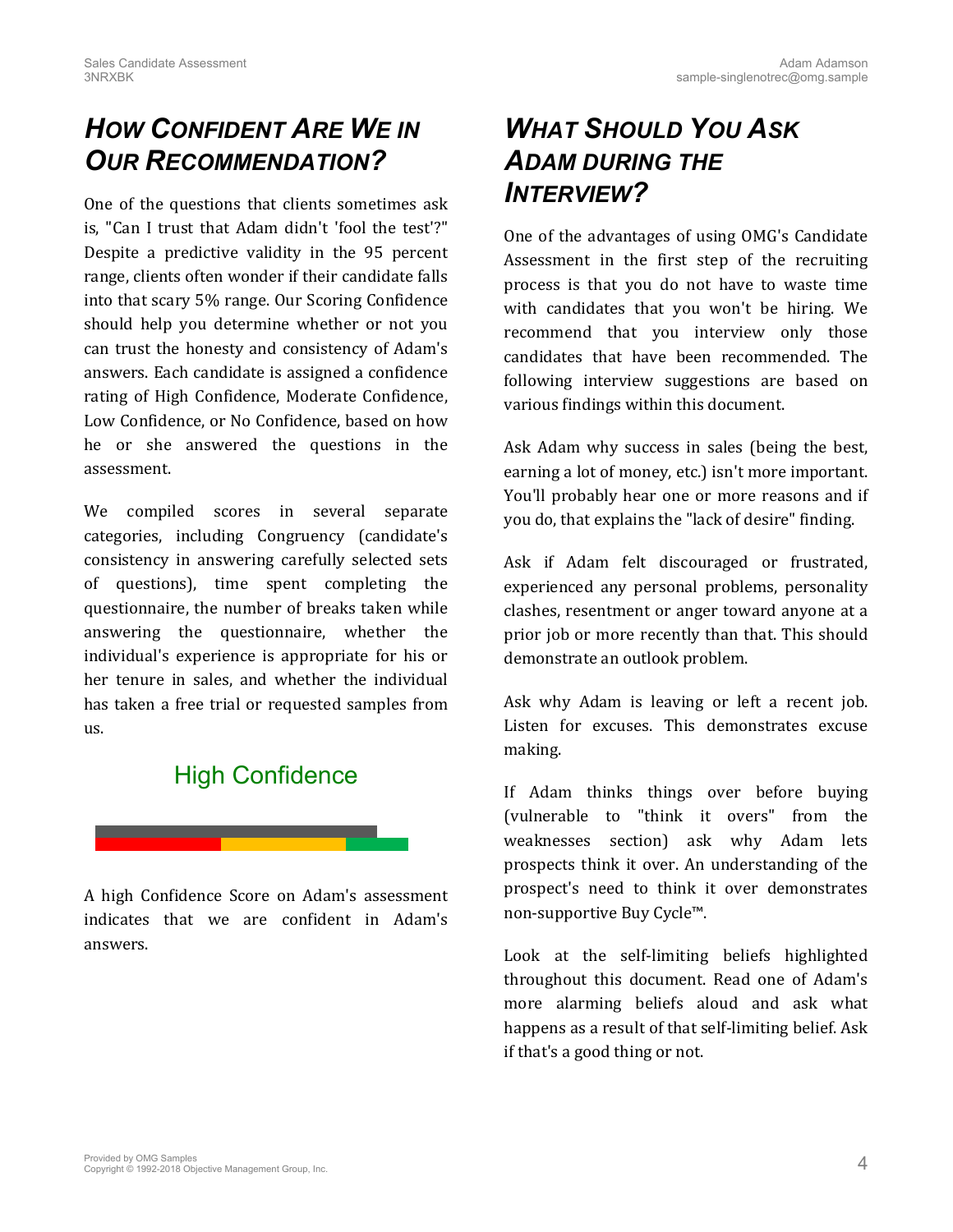# *HOW CONFIDENT ARE WE IN OUR RECOMMENDATION?*

One of the questions that clients sometimes ask is, "Can I trust that Adam didn't 'fool the test'?" Despite a predictive validity in the 95 percent range, clients often wonder if their candidate falls into that scary 5% range. Our Scoring Confidence should help you determine whether or not you can trust the honesty and consistency of Adam's answers. Each candidate is assigned a confidence rating of High Confidence, Moderate Confidence, Low Confidence, or No Confidence, based on how he or she answered the questions in the assessment.

We compiled scores in several separate categories, including Congruency (candidate's consistency in answering carefully selected sets of questions), time spent completing the questionnaire, the number of breaks taken while answering the questionnaire, whether the individual's experience is appropriate for his or her tenure in sales, and whether the individual has taken a free trial or requested samples from us.

# High Confidence



A high Confidence Score on Adam's assessment indicates that we are confident in Adam's answers.

# *WHAT SHOULD YOU ASK ADAM DURING THE INTERVIEW?*

One of the advantages of using OMG's Candidate Assessment in the first step of the recruiting process is that you do not have to waste time with candidates that you won't be hiring. We recommend that you interview only those candidates that have been recommended. The following interview suggestions are based on various findings within this document.

Ask Adam why success in sales (being the best, earning a lot of money, etc.) isn't more important. You'll probably hear one or more reasons and if you do, that explains the "lack of desire" finding.

Ask if Adam felt discouraged or frustrated, experienced any personal problems, personality clashes, resentment or anger toward anyone at a prior job or more recently than that. This should demonstrate an outlook problem.

Ask why Adam is leaving or left a recent job. Listen for excuses. This demonstrates excuse making.

If Adam thinks things over before buying (vulnerable to "think it overs" from the weaknesses section) ask why Adam lets prospects think it over. An understanding of the prospect's need to think it over demonstrates non-supportive Buy Cycle™.

Look at the self-limiting beliefs highlighted throughout this document. Read one of Adam's more alarming beliefs aloud and ask what happens as a result of that self-limiting belief. Ask if that's a good thing or not.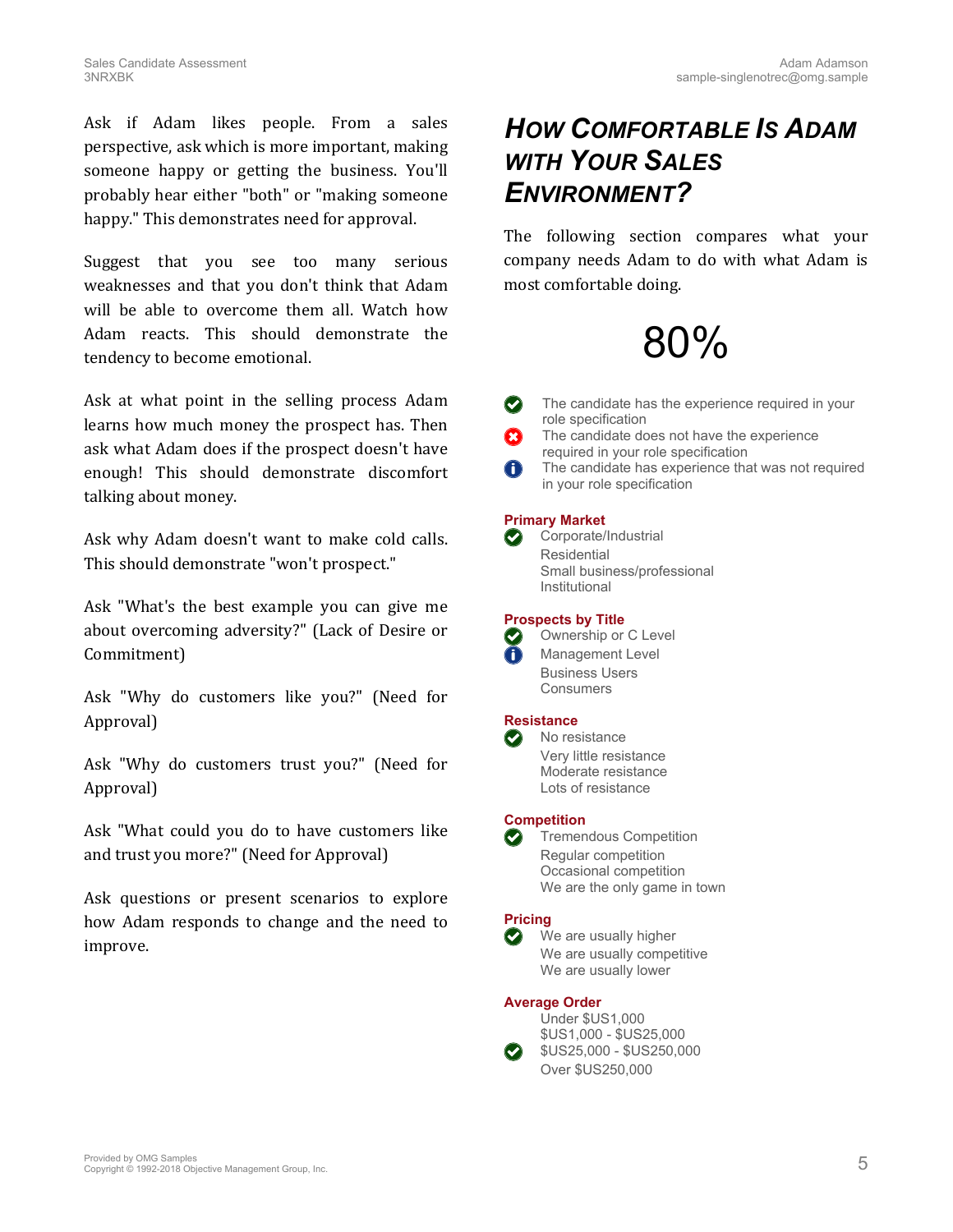Ask if Adam likes people. From a sales perspective, ask which is more important, making someone happy or getting the business. You'll probably hear either "both" or "making someone happy." This demonstrates need for approval.

Suggest that you see too many serious weaknesses and that you don't think that Adam will be able to overcome them all. Watch how Adam reacts. This should demonstrate the tendency to become emotional.

Ask at what point in the selling process Adam learns how much money the prospect has. Then ask what Adam does if the prospect doesn't have enough! This should demonstrate discomfort talking about money.

Ask why Adam doesn't want to make cold calls. This should demonstrate "won't prospect."

Ask "What's the best example you can give me about overcoming adversity?" (Lack of Desire or Commitment)

Ask "Why do customers like you?" (Need for Approval)

Ask "Why do customers trust you?" (Need for Approval)

Ask "What could you do to have customers like and trust you more?" (Need for Approval)

Ask questions or present scenarios to explore how Adam responds to change and the need to improve.

# *HOW COMFORTABLE IS ADAM WITH YOUR SALES ENVIRONMENT?*

The following section compares what your company needs Adam to do with what Adam is most comfortable doing.

# 80%

The candidate has the experience required in your role specification

- The candidate does not have the experience required in your role specification
- $\bigodot$ The candidate has experience that was not required in your role specification

### **Primary Market**

 $\odot$ Corporate/Industrial Residential Small business/professional Institutional

### **Prospects by Title**

Ownership or C Level  $(\blacktriangledown)$ Management Level Business Users Consumers

### **Resistance**



Very little resistance Moderate resistance Lots of resistance

### **Competition**

Tremendous Competition Regular competition Occasional competition We are the only game in town

#### **Pricing**  $\left(\bigvee\right)$

We are usually higher We are usually competitive We are usually lower

### **Average Order**



\$US1,000 - \$US25,000  $\bullet$  \$US25,000 - \$US250,000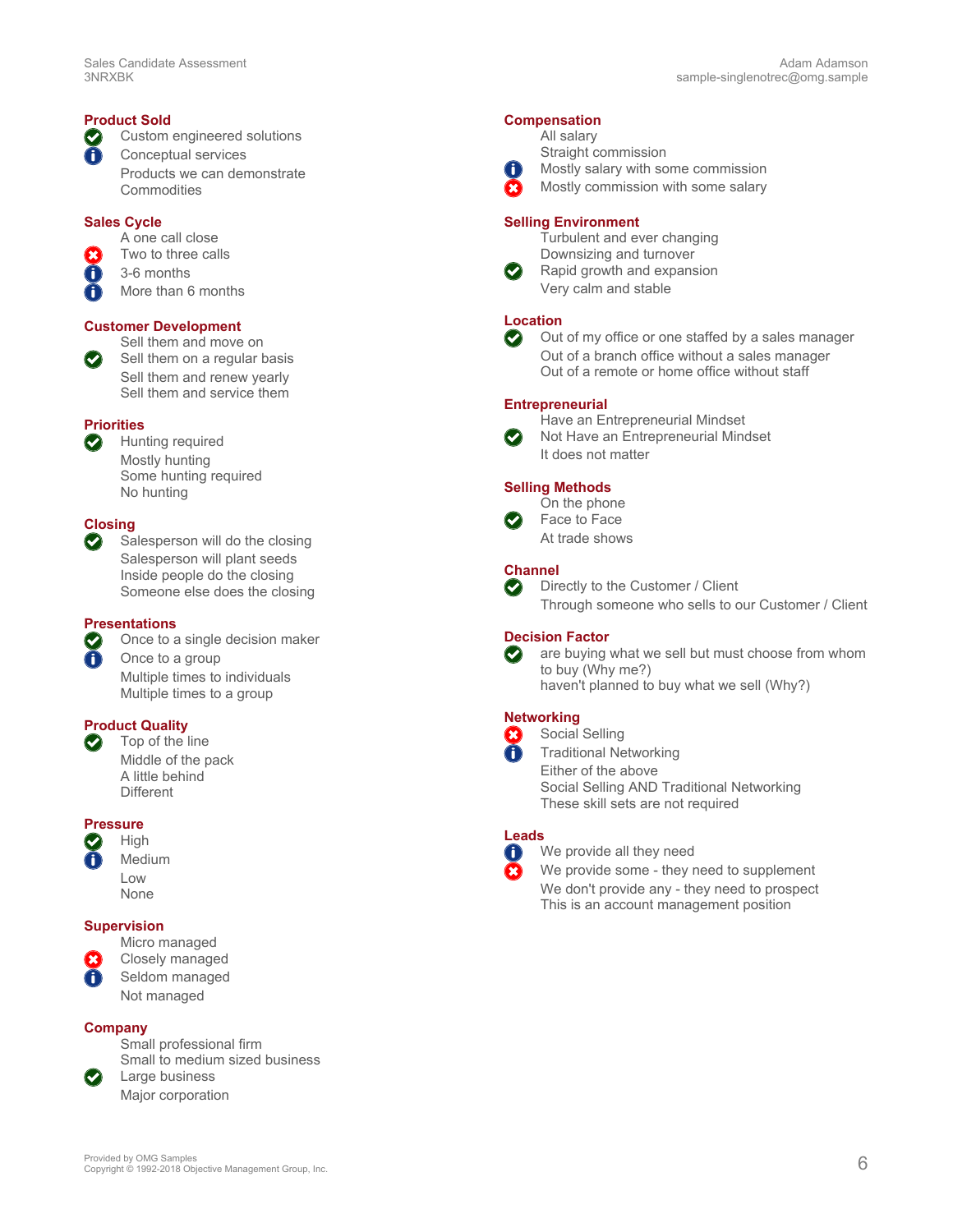### **Product Sold**

Custom engineered solutions Ø

Õ Conceptual services Products we can demonstrate **Commodities** 

### **Sales Cycle**

A one call close

- Two to three calls
- 3-6 months 6

∩ More than 6 months

#### **Customer Development**

Sell them and move on Sell them on a regular basis

Sell them and renew yearly Sell them and service them

### **Priorities**

Hunting required Mostly hunting Some hunting required No hunting

### **Closing**

0

Salesperson will do the closing Salesperson will plant seeds Inside people do the closing Someone else does the closing

### **Presentations**

Once to a single decision maker

Once to a group Multiple times to individuals Multiple times to a group

#### **Product Quality**  $\bullet$

Top of the line Middle of the pack A little behind **Different** 

### **Pressure**



### **Supervision**



Not managed

#### **Company**

Small professional firm Small to medium sized business Large business

Major corporation

### **Compensation**

|                            | All salary |
|----------------------------|------------|
|                            | Straight c |
| $\bf 0$                    | Mostly sa  |
| $\left( \mathbf{x}\right)$ | Mostly cc  |

commission lary with some commission Mostly commission with some salary

#### **Selling Environment**

Turbulent and ever changing Downsizing and turnover

Rapid growth and expansion Very calm and stable

### **Location**

Out of my office or one staffed by a sales manager  $\odot$ Out of a branch office without a sales manager Out of a remote or home office without staff

#### **Entrepreneurial**



Have an Entrepreneurial Mindset Not Have an Entrepreneurial Mindset It does not matter

### **Selling Methods**



Face to Face At trade shows

#### **Channel**  $\bigodot$

Directly to the Customer / Client Through someone who sells to our Customer / Client

### **Decision Factor**

 $\bullet$ are buying what we sell but must choose from whom to buy (Why me?) haven't planned to buy what we sell (Why?)

#### **Networking**  $\left( \mathbf{x} \right)$

Social Selling Traditional Networking Either of the above Social Selling AND Traditional Networking These skill sets are not required

### **Leads**

 $\bigodot$ 

A

We provide all they need

We provide some - they need to supplement We don't provide any - they need to prospect This is an account management position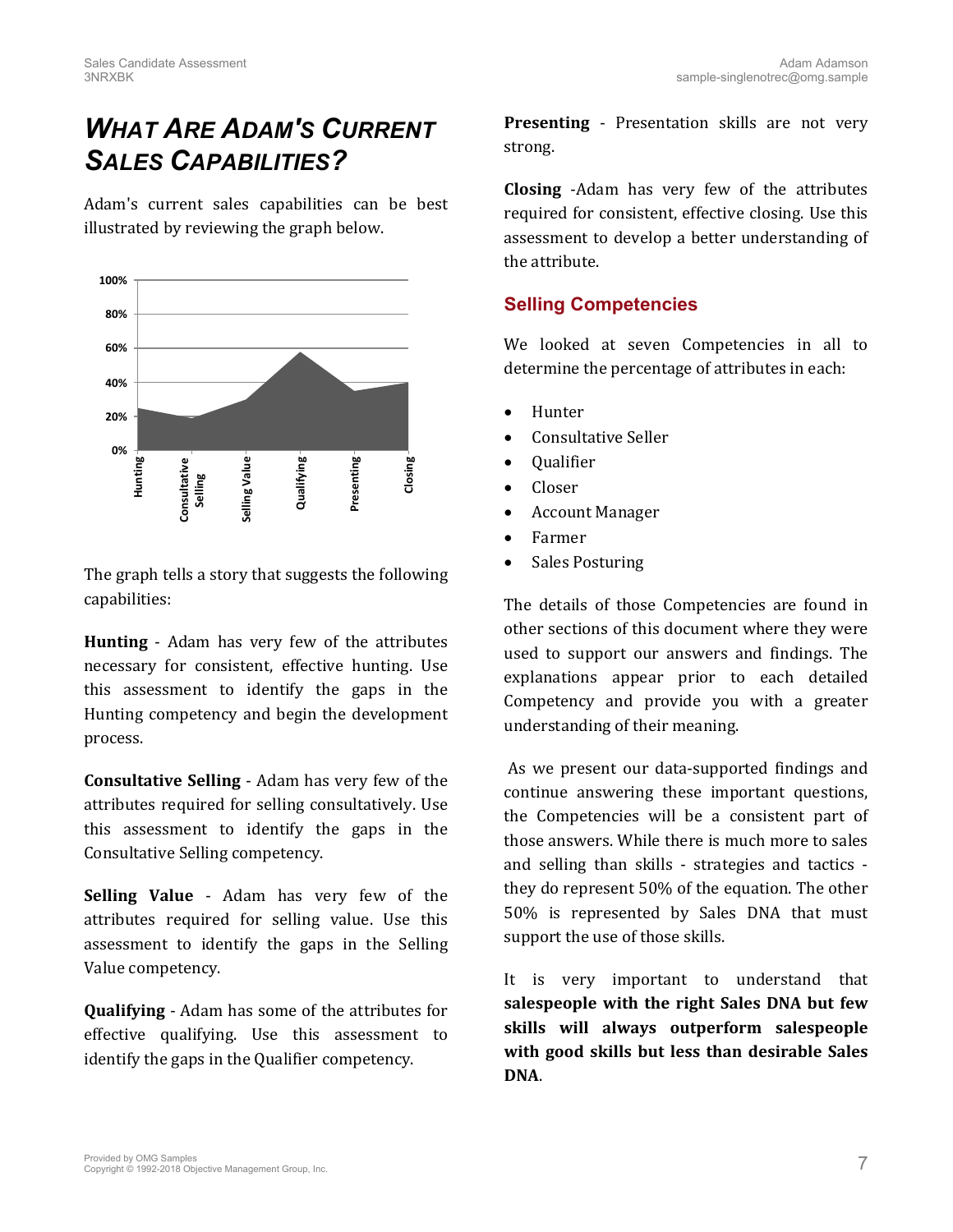# *WHAT ARE ADAM'S CURRENT SALES CAPABILITIES?*

Adam's current sales capabilities can be best illustrated by reviewing the graph below.



The graph tells a story that suggests the following capabilities:

**Hunting** - Adam has very few of the attributes necessary for consistent, effective hunting. Use this assessment to identify the gaps in the Hunting competency and begin the development process.

**Consultative Selling** - Adam has very few of the attributes required for selling consultatively. Use this assessment to identify the gaps in the Consultative Selling competency.

**Selling Value** - Adam has very few of the attributes required for selling value. Use this assessment to identify the gaps in the Selling Value competency.

**Qualifying** - Adam has some of the attributes for effective qualifying. Use this assessment to identify the gaps in the Qualifier competency.

**Presenting** - Presentation skills are not very strong.

**Closing** -Adam has very few of the attributes required for consistent, effective closing. Use this assessment to develop a better understanding of the attribute.

### **Selling Competencies**

We looked at seven Competencies in all to determine the percentage of attributes in each:

- Hunter
- Consultative Seller
- Qualifier
- Closer
- Account Manager
- Farmer
- Sales Posturing

The details of those Competencies are found in other sections of this document where they were used to support our answers and findings. The explanations appear prior to each detailed Competency and provide you with a greater understanding of their meaning.

As we present our data-supported findings and continue answering these important questions, the Competencies will be a consistent part of those answers. While there is much more to sales and selling than skills - strategies and tactics they do represent 50% of the equation. The other 50% is represented by Sales DNA that must support the use of those skills.

It is very important to understand that **salespeople with the right Sales DNA but few skills will always outperform salespeople with good skills but less than desirable Sales DNA**.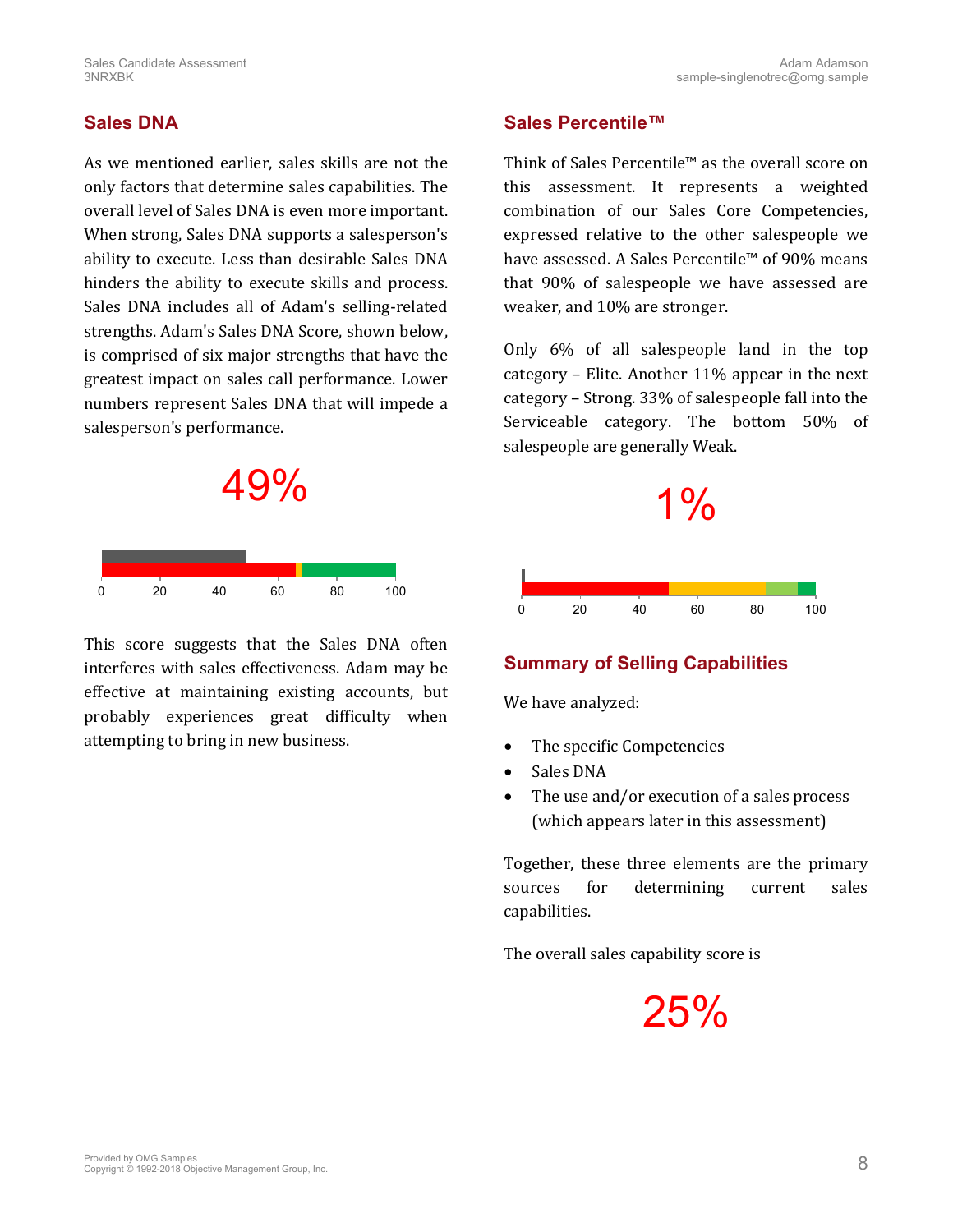## **Sales DNA**

As we mentioned earlier, sales skills are not the only factors that determine sales capabilities. The overall level of Sales DNA is even more important. When strong, Sales DNA supports a salesperson's ability to execute. Less than desirable Sales DNA hinders the ability to execute skills and process. Sales DNA includes all of Adam's selling-related strengths. Adam's Sales DNA Score, shown below, is comprised of six major strengths that have the greatest impact on sales call performance. Lower numbers represent Sales DNA that will impede a salesperson's performance.



This score suggests that the Sales DNA often interferes with sales effectiveness. Adam may be effective at maintaining existing accounts, but probably experiences great difficulty when attempting to bring in new business.

### **Sales Percentile™**

Think of Sales Percentile™ as the overall score on this assessment. It represents a weighted combination of our Sales Core Competencies, expressed relative to the other salespeople we have assessed. A Sales Percentile™ of 90% means that 90% of salespeople we have assessed are weaker, and 10% are stronger.

Only 6% of all salespeople land in the top category – Elite. Another 11% appear in the next category – Strong. 33% of salespeople fall into the Serviceable category. The bottom 50% of salespeople are generally Weak.



### **Summary of Selling Capabilities**

We have analyzed:

- The specific Competencies
- Sales DNA
- The use and/or execution of a sales process (which appears later in this assessment)

Together, these three elements are the primary sources for determining current sales capabilities.

The overall sales capability score is

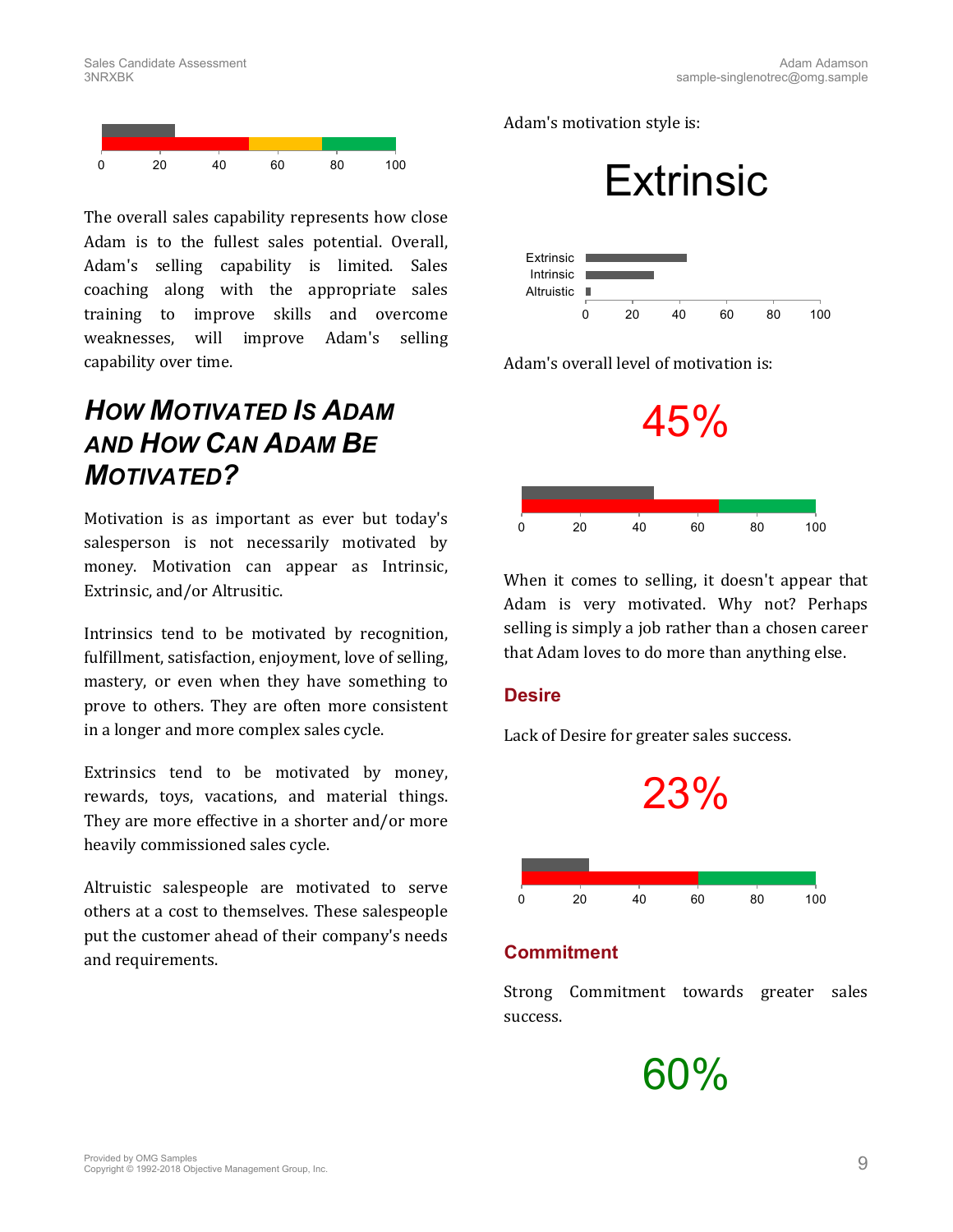

The overall sales capability represents how close Adam is to the fullest sales potential. Overall, Adam's selling capability is limited. Sales coaching along with the appropriate sales training to improve skills and overcome weaknesses, will improve Adam's selling capability over time.

# *HOW MOTIVATED IS ADAM AND HOW CAN ADAM BE MOTIVATED?*

Motivation is as important as ever but today's salesperson is not necessarily motivated by money. Motivation can appear as Intrinsic, Extrinsic, and/or Altrusitic.

Intrinsics tend to be motivated by recognition, fulfillment, satisfaction, enjoyment, love of selling, mastery, or even when they have something to prove to others. They are often more consistent in a longer and more complex sales cycle.

Extrinsics tend to be motivated by money, rewards, toys, vacations, and material things. They are more effective in a shorter and/or more heavily commissioned sales cycle.

Altruistic salespeople are motivated to serve others at a cost to themselves. These salespeople put the customer ahead of their company's needs and requirements.

Adam's motivation style is:





Adam's overall level of motivation is:



When it comes to selling, it doesn't appear that Adam is very motivated. Why not? Perhaps selling is simply a job rather than a chosen career that Adam loves to do more than anything else.

### **Desire**

Lack of Desire for greater sales success.



### **Commitment**

Strong Commitment towards greater sales success.

60%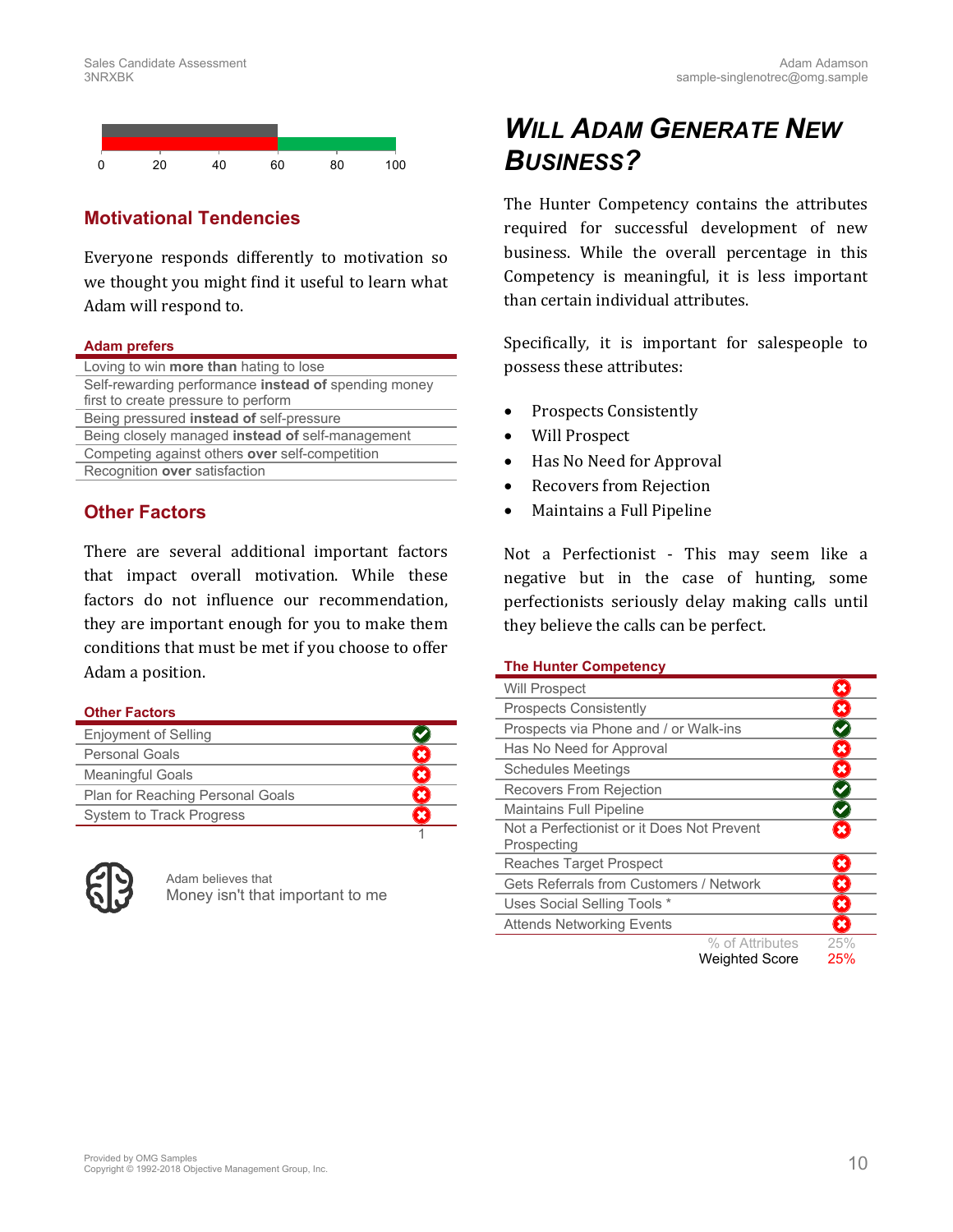

## **Motivational Tendencies**

Everyone responds differently to motivation so we thought you might find it useful to learn what Adam will respond to.

### **Adam prefers**

| Loving to win <b>more than</b> hating to lose        |
|------------------------------------------------------|
| Self-rewarding performance instead of spending money |
| first to create pressure to perform                  |
| Being pressured instead of self-pressure             |
| Being closely managed instead of self-management     |
| Competing against others over self-competition       |
| Recognition over satisfaction                        |
|                                                      |

### **Other Factors**

There are several additional important factors that impact overall motivation. While these factors do not influence our recommendation, they are important enough for you to make them conditions that must be met if you choose to offer Adam a position.

### **Other Factors**

| <b>Enjoyment of Selling</b>      |  |
|----------------------------------|--|
| Personal Goals                   |  |
| <b>Meaningful Goals</b>          |  |
| Plan for Reaching Personal Goals |  |
| System to Track Progress         |  |
|                                  |  |



Adam believes that Money isn't that important to me

# *WILL ADAM GENERATE NEW BUSINESS?*

The Hunter Competency contains the attributes required for successful development of new business. While the overall percentage in this Competency is meaningful, it is less important than certain individual attributes.

Specifically, it is important for salespeople to possess these attributes:

- Prospects Consistently
- Will Prospect
- Has No Need for Approval
- Recovers from Rejection
- Maintains a Full Pipeline

Not a Perfectionist - This may seem like a negative but in the case of hunting, some perfectionists seriously delay making calls until they believe the calls can be perfect.

### <span id="page-9-0"></span>**The Hunter Competency**

| <b>Will Prospect</b>                                      |                       |                         |
|-----------------------------------------------------------|-----------------------|-------------------------|
| <b>Prospects Consistently</b>                             |                       | ×                       |
| Prospects via Phone and / or Walk-ins                     |                       |                         |
| Has No Need for Approval                                  |                       | $\pmb{\times}$          |
| <b>Schedules Meetings</b>                                 |                       | $\pmb{\times}$          |
| Recovers From Rejection                                   |                       |                         |
| <b>Maintains Full Pipeline</b>                            |                       |                         |
| Not a Perfectionist or it Does Not Prevent<br>Prospecting |                       | ×                       |
| Reaches Target Prospect                                   |                       | $\overline{\mathbf{x}}$ |
| <b>Gets Referrals from Customers / Network</b>            |                       | ×                       |
| Uses Social Selling Tools *                               |                       | $\overline{\mathbf{x}}$ |
| <b>Attends Networking Events</b>                          |                       | ×                       |
|                                                           | % of Attributes       | 25%                     |
|                                                           | <b>Weighted Score</b> | 25%                     |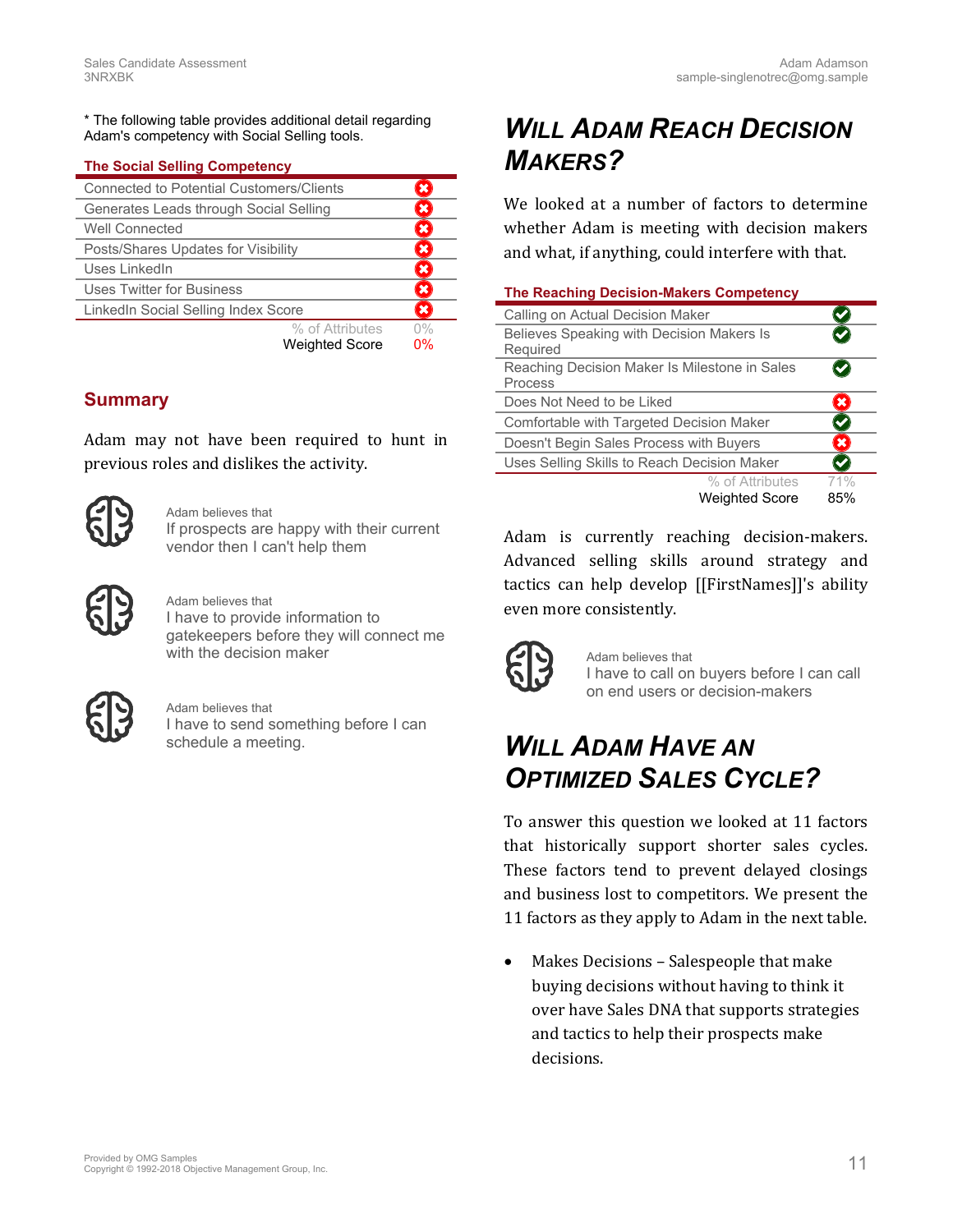\* The following table provides additional detail regarding Adam's competency with Social Selling tools.

### <span id="page-10-0"></span>**The Social Selling Competency**

| <b>Connected to Potential Customers/Clients</b> |    |  |
|-------------------------------------------------|----|--|
| Generates Leads through Social Selling          |    |  |
| Well Connected                                  |    |  |
| Posts/Shares Updates for Visibility             |    |  |
| Uses LinkedIn                                   |    |  |
| Uses Twitter for Business                       | ¥  |  |
| LinkedIn Social Selling Index Score             |    |  |
| % of Attributes                                 | 0% |  |
| <b>Weighted Score</b>                           | 0% |  |

### **Summary**

Adam may not have been required to hunt in previous roles and dislikes the activity.



Adam believes that If prospects are happy with their current vendor then I can't help them



Adam believes that I have to provide information to gatekeepers before they will connect me with the decision maker



Adam believes that I have to send something before I can schedule a meeting.

# *WILL ADAM REACH DECISION MAKERS?*

We looked at a number of factors to determine whether Adam is meeting with decision makers and what, if anything, could interfere with that.

<span id="page-10-1"></span>

|  | <b>The Reaching Decision-Makers Competency</b> |  |
|--|------------------------------------------------|--|
|  |                                                |  |

| Calling on Actual Decision Maker              |                |
|-----------------------------------------------|----------------|
| Believes Speaking with Decision Makers Is     |                |
| Required                                      |                |
| Reaching Decision Maker Is Milestone in Sales |                |
| Process                                       |                |
| Does Not Need to be Liked                     |                |
| Comfortable with Targeted Decision Maker      |                |
| Doesn't Begin Sales Process with Buyers       | $\pmb{\times}$ |
| Uses Selling Skills to Reach Decision Maker   |                |
| % of Attributes                               | 71%            |
| <b>Weighted Score</b>                         | 85%            |

Adam is currently reaching decision-makers. Advanced selling skills around strategy and tactics can help develop [[FirstNames]]'s ability even more consistently.



Adam believes that I have to call on buyers before I can call on end users or decision-makers

# *WILL ADAM HAVE AN OPTIMIZED SALES CYCLE?*

To answer this question we looked at 11 factors that historically support shorter sales cycles. These factors tend to prevent delayed closings and business lost to competitors. We present the 11 factors as they apply to Adam in the next table.

 Makes Decisions – Salespeople that make buying decisions without having to think it over have Sales DNA that supports strategies and tactics to help their prospects make decisions.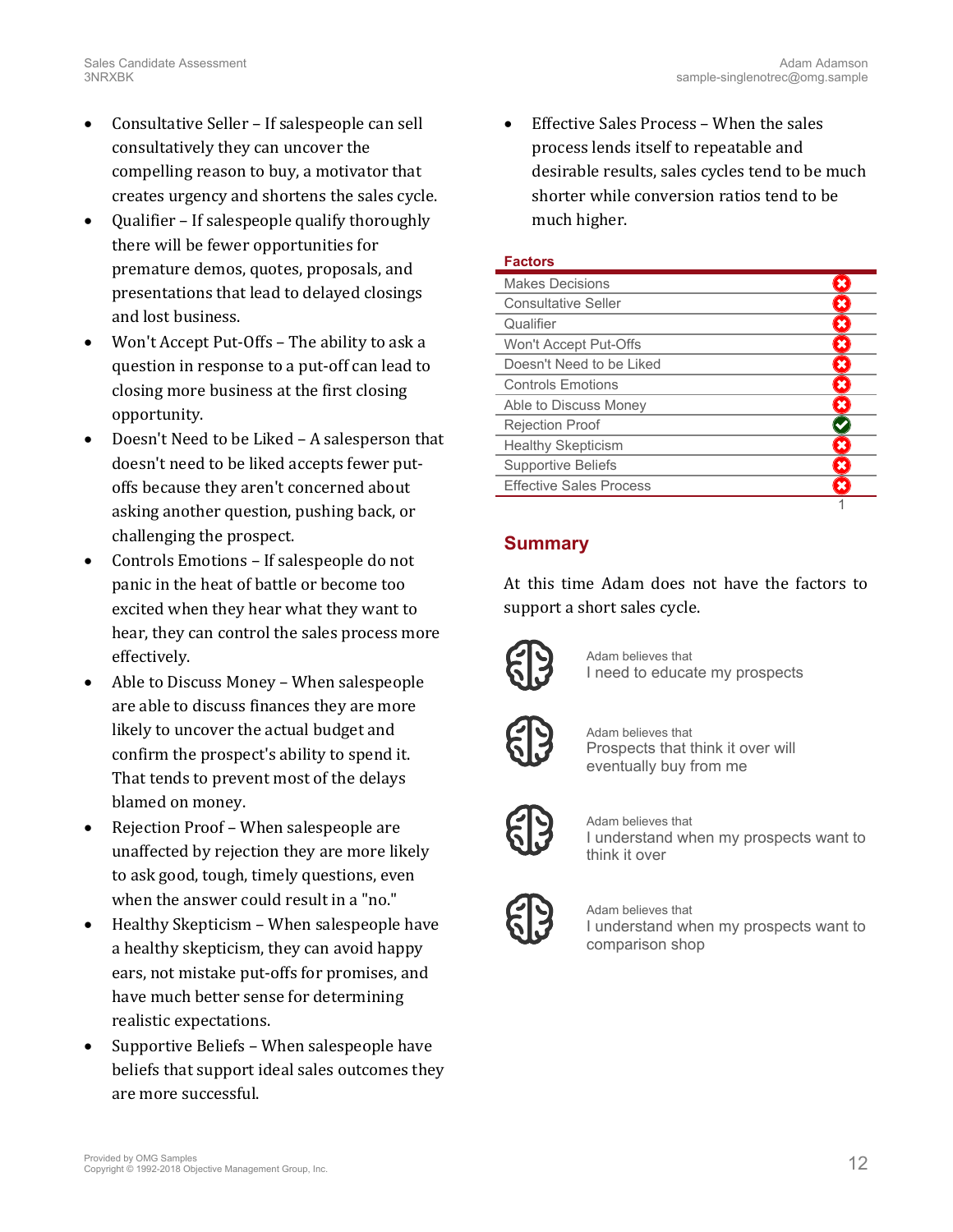- Consultative Seller If salespeople can sell consultatively they can uncover the compelling reason to buy, a motivator that creates urgency and shortens the sales cycle.
- Qualifier If salespeople qualify thoroughly there will be fewer opportunities for premature demos, quotes, proposals, and presentations that lead to delayed closings and lost business.
- Won't Accept Put-Offs The ability to ask a question in response to a put-off can lead to closing more business at the first closing opportunity.
- Doesn't Need to be Liked A salesperson that doesn't need to be liked accepts fewer putoffs because they aren't concerned about asking another question, pushing back, or challenging the prospect.
- Controls Emotions If salespeople do not panic in the heat of battle or become too excited when they hear what they want to hear, they can control the sales process more effectively.
- Able to Discuss Money When salespeople are able to discuss finances they are more likely to uncover the actual budget and confirm the prospect's ability to spend it. That tends to prevent most of the delays blamed on money.
- Rejection Proof When salespeople are unaffected by rejection they are more likely to ask good, tough, timely questions, even when the answer could result in a "no."
- Healthy Skepticism When salespeople have a healthy skepticism, they can avoid happy ears, not mistake put-offs for promises, and have much better sense for determining realistic expectations.
- Supportive Beliefs When salespeople have beliefs that support ideal sales outcomes they are more successful.

 Effective Sales Process – When the sales process lends itself to repeatable and desirable results, sales cycles tend to be much shorter while conversion ratios tend to be much higher.

### **Factors**

| <b>Makes Decisions</b>         |  |
|--------------------------------|--|
| <b>Consultative Seller</b>     |  |
| Qualifier                      |  |
| Won't Accept Put-Offs          |  |
| Doesn't Need to be Liked       |  |
| <b>Controls Emotions</b>       |  |
| Able to Discuss Money          |  |
| <b>Rejection Proof</b>         |  |
| <b>Healthy Skepticism</b>      |  |
| <b>Supportive Beliefs</b>      |  |
| <b>Effective Sales Process</b> |  |
|                                |  |

# **Summary**

At this time Adam does not have the factors to support a short sales cycle.



Adam believes that I need to educate my prospects



Adam believes that Prospects that think it over will eventually buy from me



Adam believes that I understand when my prospects want to think it over



Adam believes that I understand when my prospects want to comparison shop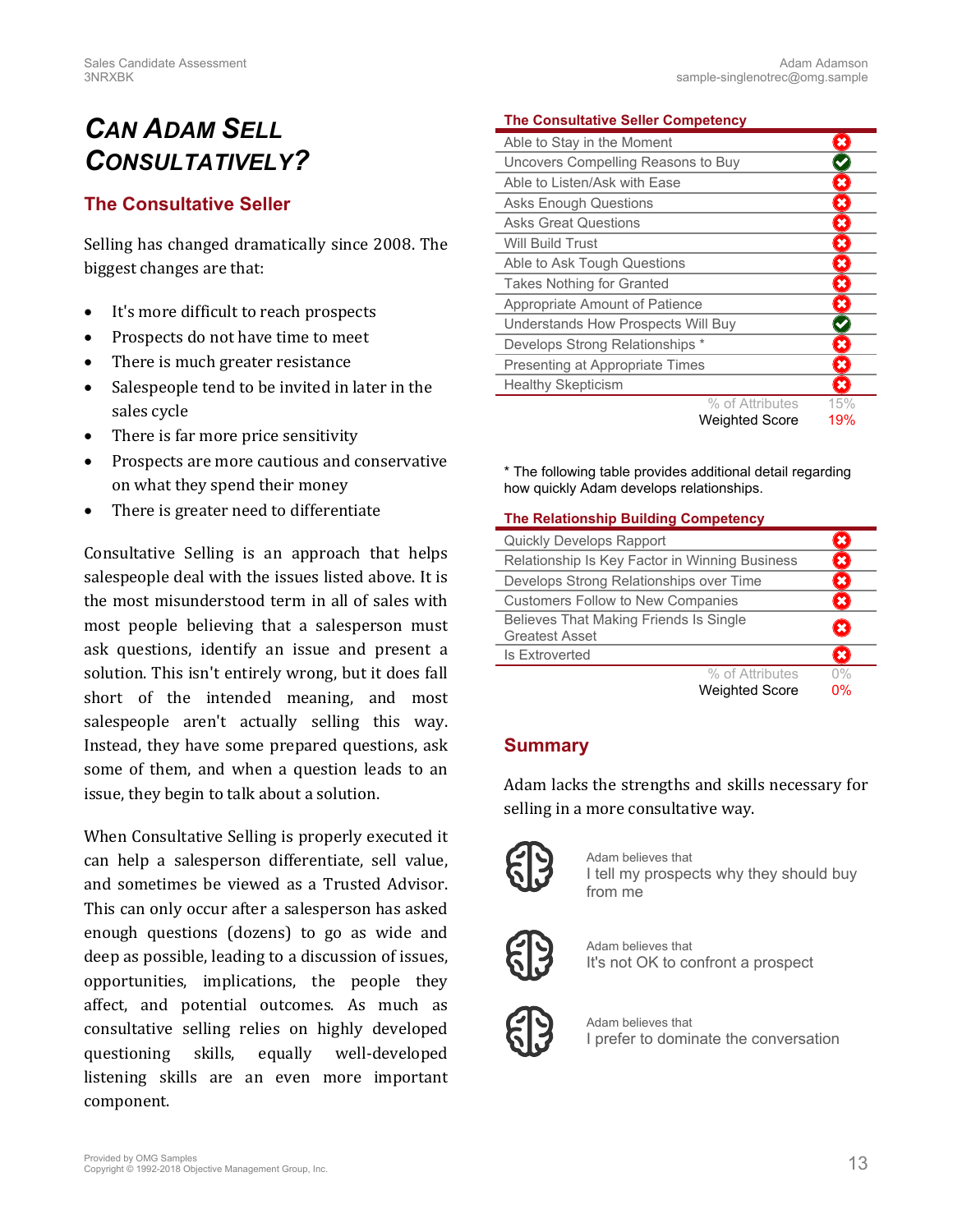# *CAN ADAM SELL CONSULTATIVELY?*

# **The Consultative Seller**

Selling has changed dramatically since 2008. The biggest changes are that:

- It's more difficult to reach prospects
- Prospects do not have time to meet
- There is much greater resistance
- Salespeople tend to be invited in later in the sales cycle
- There is far more price sensitivity
- Prospects are more cautious and conservative on what they spend their money
- There is greater need to differentiate

Consultative Selling is an approach that helps salespeople deal with the issues listed above. It is the most misunderstood term in all of sales with most people believing that a salesperson must ask questions, identify an issue and present a solution. This isn't entirely wrong, but it does fall short of the intended meaning, and most salespeople aren't actually selling this way. Instead, they have some prepared questions, ask some of them, and when a question leads to an issue, they begin to talk about a solution.

When Consultative Selling is properly executed it can help a salesperson differentiate, sell value, and sometimes be viewed as a Trusted Advisor. This can only occur after a salesperson has asked enough questions (dozens) to go as wide and deep as possible, leading to a discussion of issues, opportunities, implications, the people they affect, and potential outcomes. As much as consultative selling relies on highly developed questioning skills, equally well-developed listening skills are an even more important component.

### <span id="page-12-1"></span>**The Consultative Seller Competency**

| Able to Stay in the Moment         |                       |                           |
|------------------------------------|-----------------------|---------------------------|
| Uncovers Compelling Reasons to Buy |                       |                           |
| Able to Listen/Ask with Ease       |                       | ×                         |
| <b>Asks Enough Questions</b>       |                       | $\boldsymbol{\mathsf{x}}$ |
| <b>Asks Great Questions</b>        |                       | $\boldsymbol{\mathsf{x}}$ |
| <b>Will Build Trust</b>            |                       | ×                         |
| Able to Ask Tough Questions        |                       | $\mathbf x$               |
| <b>Takes Nothing for Granted</b>   |                       | ×                         |
| Appropriate Amount of Patience     |                       | $\boldsymbol{\mathsf{x}}$ |
| Understands How Prospects Will Buy |                       |                           |
| Develops Strong Relationships *    |                       | $\pmb{\times}$            |
| Presenting at Appropriate Times    |                       | ×                         |
| <b>Healthy Skepticism</b>          |                       | $\mathbf x$               |
|                                    | % of Attributes       | 15%                       |
|                                    | <b>Weighted Score</b> | 19%                       |

\* The following table provides additional detail regarding how quickly Adam develops relationships.

### <span id="page-12-0"></span>**The Relationship Building Competency**

| Quickly Develops Rapport                       |       |
|------------------------------------------------|-------|
| Relationship Is Key Factor in Winning Business |       |
| Develops Strong Relationships over Time        | ×     |
| <b>Customers Follow to New Companies</b>       |       |
| Believes That Making Friends Is Single         | ×     |
| <b>Greatest Asset</b>                          |       |
| <b>Is Extroverted</b>                          |       |
| % of Attributes                                | $0\%$ |
| <b>Weighted Score</b>                          | 0%    |

### **Summary**

Adam lacks the strengths and skills necessary for selling in a more consultative way.



Adam believes that I tell my prospects why they should buy from me



Adam believes that It's not OK to confront a prospect



Adam believes that I prefer to dominate the conversation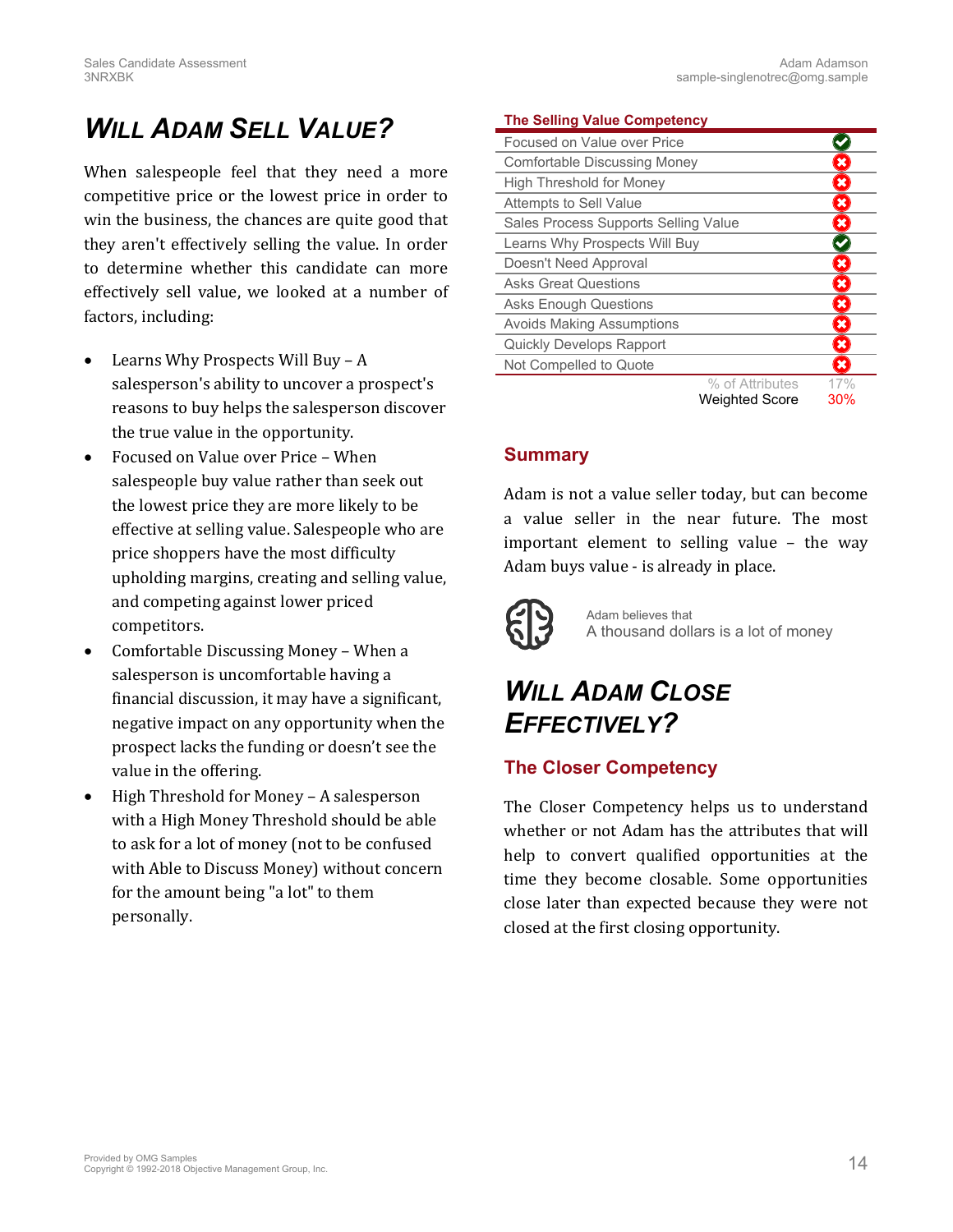# *WILL ADAM SELL VALUE?*

When salespeople feel that they need a more competitive price or the lowest price in order to win the business, the chances are quite good that they aren't effectively selling the value. In order to determine whether this candidate can more effectively sell value, we looked at a number of factors, including:

- Learns Why Prospects Will Buy A salesperson's ability to uncover a prospect's reasons to buy helps the salesperson discover the true value in the opportunity.
- Focused on Value over Price When salespeople buy value rather than seek out the lowest price they are more likely to be effective at selling value. Salespeople who are price shoppers have the most difficulty upholding margins, creating and selling value, and competing against lower priced competitors.
- Comfortable Discussing Money When a salesperson is uncomfortable having a financial discussion, it may have a significant, negative impact on any opportunity when the prospect lacks the funding or doesn't see the value in the offering.
- High Threshold for Money A salesperson with a High Money Threshold should be able to ask for a lot of money (not to be confused with Able to Discuss Money) without concern for the amount being "a lot" to them personally.

### <span id="page-13-0"></span>**The Selling Value Competency**

| Focused on Value over Price          |                           |
|--------------------------------------|---------------------------|
| Comfortable Discussing Money         | ×                         |
| <b>High Threshold for Money</b>      | ×                         |
| Attempts to Sell Value               | $\boldsymbol{\mathsf{x}}$ |
| Sales Process Supports Selling Value | $\pmb{\times}$            |
| Learns Why Prospects Will Buy        |                           |
| Doesn't Need Approval                | ×                         |
| <b>Asks Great Questions</b>          | $\pmb{\times}$            |
| <b>Asks Enough Questions</b>         | $\pmb{\times}$            |
| <b>Avoids Making Assumptions</b>     | $\pmb{\times}$            |
| <b>Quickly Develops Rapport</b>      | $\pmb{\times}$            |
| Not Compelled to Quote               | $\mathbf x$               |
| % of Attributes                      | 17%                       |
| <b>Weighted Score</b>                | 30%                       |

### **Summary**

Adam is not a value seller today, but can become a value seller in the near future. The most important element to selling value – the way Adam buys value - is already in place.



Adam believes that A thousand dollars is a lot of money

# *WILL ADAM CLOSE EFFECTIVELY?*

# **The Closer Competency**

The Closer Competency helps us to understand whether or not Adam has the attributes that will help to convert qualified opportunities at the time they become closable. Some opportunities close later than expected because they were not closed at the first closing opportunity.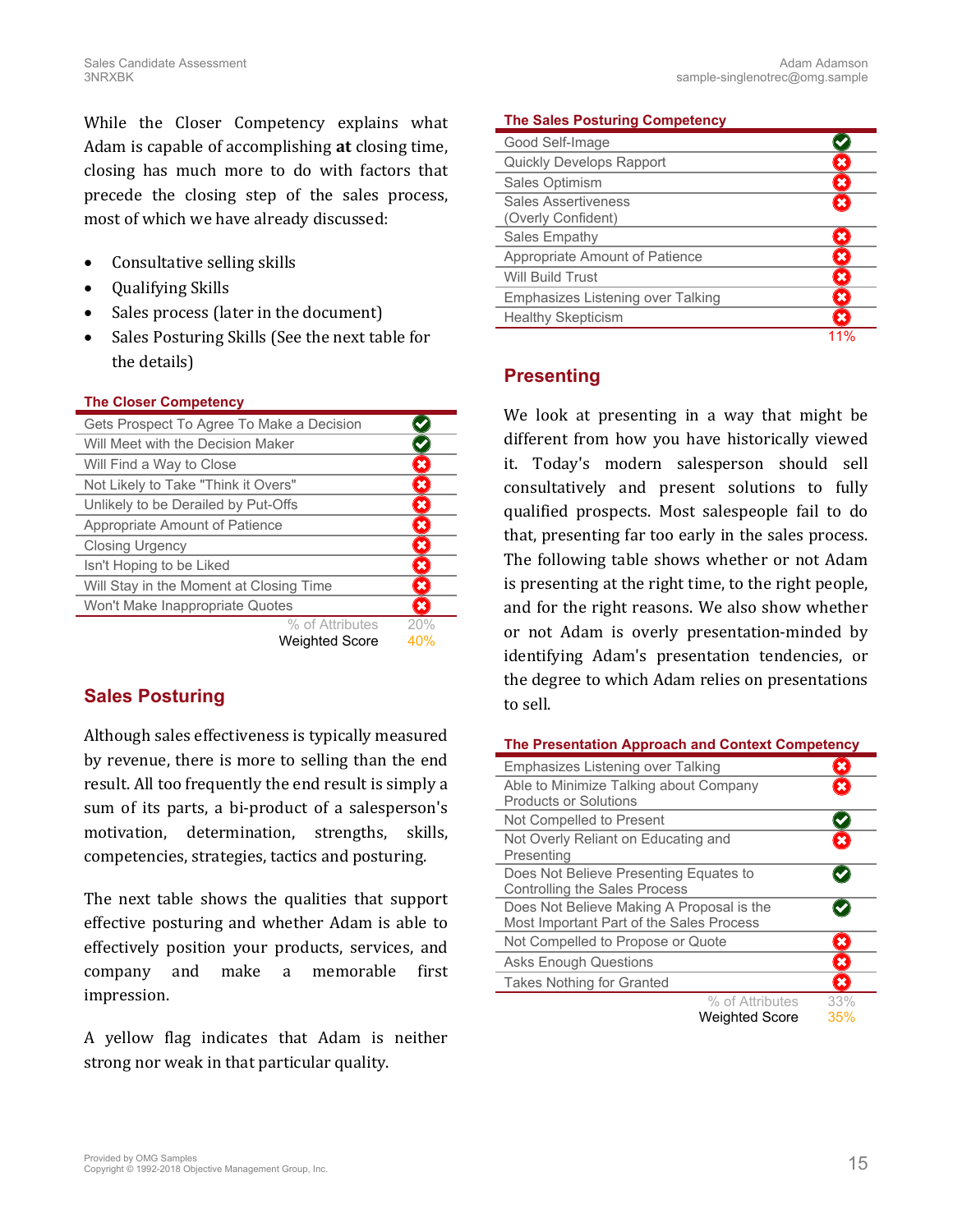While the Closer Competency explains what Adam is capable of accomplishing **at** closing time, closing has much more to do with factors that precede the closing step of the sales process, most of which we have already discussed:

- Consultative selling skills
- Qualifying Skills
- Sales process (later in the document)
- Sales Posturing Skills (See the next table for the details)

### <span id="page-14-1"></span>**The Closer Competency**

| Gets Prospect To Agree To Make a Decision |                          |
|-------------------------------------------|--------------------------|
| Will Meet with the Decision Maker         |                          |
| Will Find a Way to Close                  | ×                        |
| Not Likely to Take "Think it Overs"       | $\boldsymbol{\varkappa}$ |
| Unlikely to be Derailed by Put-Offs       | ×                        |
| Appropriate Amount of Patience            | ×                        |
| <b>Closing Urgency</b>                    | ×                        |
| Isn't Hoping to be Liked                  | ×                        |
| Will Stay in the Moment at Closing Time   | $\pmb{\times}$           |
| Won't Make Inappropriate Quotes           | $\overline{\mathbf{x}}$  |
| % of Attributes                           | 20%                      |
| <b>Weighted Score</b>                     | 40%                      |

### **Sales Posturing**

Although sales effectiveness is typically measured by revenue, there is more to selling than the end result. All too frequently the end result is simply a sum of its parts, a bi-product of a salesperson's motivation, determination, strengths, skills, competencies, strategies, tactics and posturing.

The next table shows the qualities that support effective posturing and whether Adam is able to effectively position your products, services, and company and make a memorable first impression.

A yellow flag indicates that Adam is neither strong nor weak in that particular quality.

### <span id="page-14-2"></span>**The Sales Posturing Competency**

| Good Self-Image                   |   |
|-----------------------------------|---|
| <b>Quickly Develops Rapport</b>   |   |
| Sales Optimism                    |   |
| <b>Sales Assertiveness</b>        |   |
| (Overly Confident)                |   |
| Sales Empathy                     |   |
| Appropriate Amount of Patience    | × |
| <b>Will Build Trust</b>           | × |
| Emphasizes Listening over Talking | × |
| <b>Healthy Skepticism</b>         |   |
|                                   |   |

### **Presenting**

We look at presenting in a way that might be different from how you have historically viewed it. Today's modern salesperson should sell consultatively and present solutions to fully qualified prospects. Most salespeople fail to do that, presenting far too early in the sales process. The following table shows whether or not Adam is presenting at the right time, to the right people, and for the right reasons. We also show whether or not Adam is overly presentation-minded by identifying Adam's presentation tendencies, or the degree to which Adam relies on presentations to sell.

<span id="page-14-0"></span>

| The Presentation Approach and Context Competency                                      |                         |  |
|---------------------------------------------------------------------------------------|-------------------------|--|
| Emphasizes Listening over Talking                                                     | ×                       |  |
| Able to Minimize Talking about Company<br><b>Products or Solutions</b>                | $\overline{\mathbf{x}}$ |  |
| Not Compelled to Present                                                              |                         |  |
| Not Overly Reliant on Educating and<br>Presenting                                     | 坐                       |  |
| Does Not Believe Presenting Equates to<br>Controlling the Sales Process               |                         |  |
| Does Not Believe Making A Proposal is the<br>Most Important Part of the Sales Process |                         |  |
| Not Compelled to Propose or Quote                                                     | ×                       |  |
| <b>Asks Enough Questions</b>                                                          | ×                       |  |
| <b>Takes Nothing for Granted</b>                                                      | ×                       |  |
| % of Attributes                                                                       | 33%                     |  |
| <b>Weighted Score</b>                                                                 | 35%                     |  |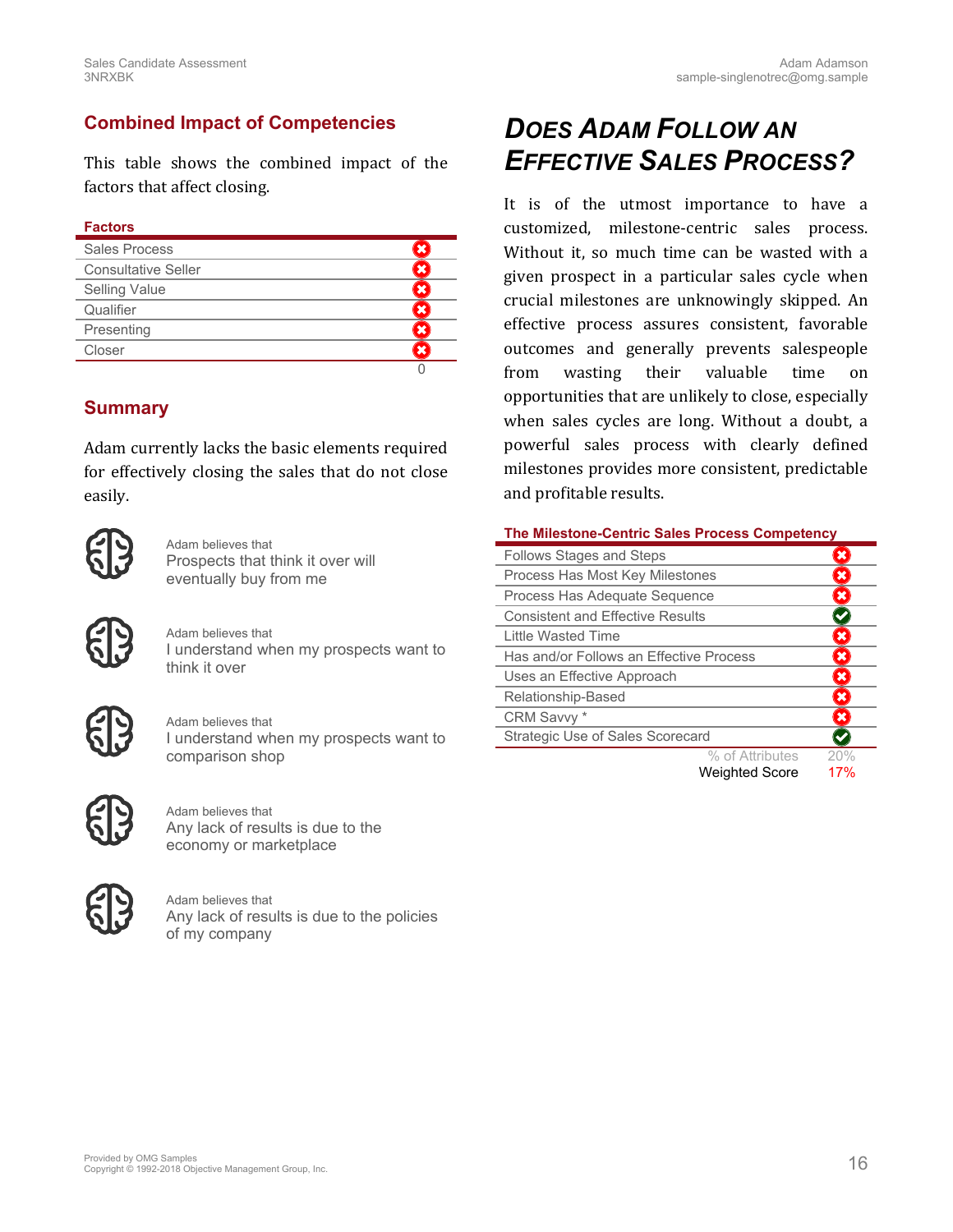### **Combined Impact of Competencies**

This table shows the combined impact of the factors that affect closing.

### **Factors**

| Sales Process              |  |
|----------------------------|--|
| <b>Consultative Seller</b> |  |
| <b>Selling Value</b>       |  |
| Qualifier                  |  |
| Presenting                 |  |
| Closer                     |  |
|                            |  |

### **Summary**

Adam currently lacks the basic elements required for effectively closing the sales that do not close easily.



Adam believes that Prospects that think it over will eventually buy from me



Adam believes that I understand when my prospects want to think it over



Adam believes that I understand when my prospects want to comparison shop



Adam believes that Any lack of results is due to the economy or marketplace



Adam believes that Any lack of results is due to the policies of my company

# *DOES ADAM FOLLOW AN EFFECTIVE SALES PROCESS?*

It is of the utmost importance to have a customized, milestone-centric sales process. Without it, so much time can be wasted with a given prospect in a particular sales cycle when crucial milestones are unknowingly skipped. An effective process assures consistent, favorable outcomes and generally prevents salespeople from wasting their valuable time on opportunities that are unlikely to close, especially when sales cycles are long. Without a doubt, a powerful sales process with clearly defined milestones provides more consistent, predictable and profitable results.

#### <span id="page-15-0"></span>**The Milestone-Centric Sales Process Competency**

| <b>Follows Stages and Steps</b>         |                 |      |
|-----------------------------------------|-----------------|------|
| Process Has Most Key Milestones         |                 | ×    |
| Process Has Adequate Sequence           |                 | ×    |
| <b>Consistent and Effective Results</b> |                 |      |
| Little Wasted Time                      |                 | ×    |
| Has and/or Follows an Effective Process |                 | ×    |
| Uses an Effective Approach              |                 | ×    |
| Relationship-Based                      |                 | ×    |
| CRM Savvy *                             |                 | ×    |
| Strategic Use of Sales Scorecard        |                 |      |
|                                         | % of Attributes | 20%  |
|                                         | M1              | 470/ |

Weighted Score 17%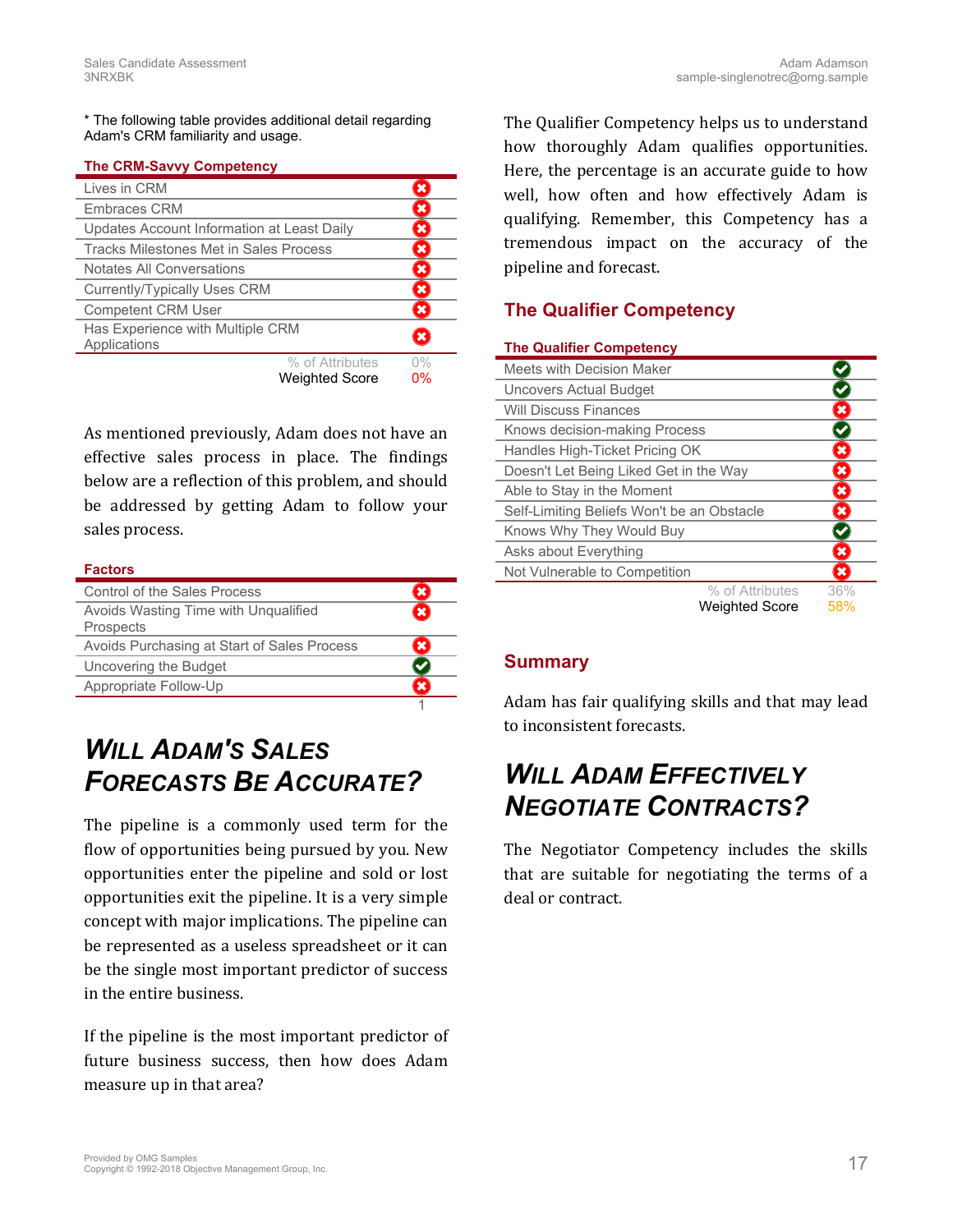\* The following table provides additional detail regarding Adam's CRM familiarity and usage.

### <span id="page-16-0"></span>**The CRM-Savvy Competency**

| Lives in CRM                                     |       |
|--------------------------------------------------|-------|
| <b>Embraces CRM</b>                              | ×     |
| Updates Account Information at Least Daily       | ×     |
| Tracks Milestones Met in Sales Process           | ×     |
| Notates All Conversations                        | ×     |
| Currently/Typically Uses CRM                     | ×     |
| <b>Competent CRM User</b>                        |       |
| Has Experience with Multiple CRM<br>Applications |       |
| % of Attributes                                  | $0\%$ |
| <b>Weighted Score</b>                            | 0%    |

As mentioned previously, Adam does not have an effective sales process in place. The findings below are a reflection of this problem, and should be addressed by getting Adam to follow your sales process.

#### **Factors**

| Control of the Sales Process                             |  |
|----------------------------------------------------------|--|
| Avoids Wasting Time with Ungualified<br><b>Prospects</b> |  |
| Avoids Purchasing at Start of Sales Process              |  |
| Uncovering the Budget                                    |  |
| Appropriate Follow-Up                                    |  |
|                                                          |  |

# *WILL ADAM'S SALES FORECASTS BE ACCURATE?*

The pipeline is a commonly used term for the flow of opportunities being pursued by you. New opportunities enter the pipeline and sold or lost opportunities exit the pipeline. It is a very simple concept with major implications. The pipeline can be represented as a useless spreadsheet or it can be the single most important predictor of success in the entire business.

If the pipeline is the most important predictor of future business success, then how does Adam measure up in that area?

The Qualifier Competency helps us to understand how thoroughly Adam qualifies opportunities. Here, the percentage is an accurate guide to how well, how often and how effectively Adam is qualifying. Remember, this Competency has a tremendous impact on the accuracy of the pipeline and forecast.

### **The Qualifier Competency**

<span id="page-16-1"></span>

| <b>The Qualifier Competency</b> |
|---------------------------------|
|---------------------------------|

| Meets with Decision Maker                  |                         |
|--------------------------------------------|-------------------------|
| Uncovers Actual Budget                     |                         |
| <b>Will Discuss Finances</b>               |                         |
| Knows decision-making Process              |                         |
| Handles High-Ticket Pricing OK             | ×                       |
| Doesn't Let Being Liked Get in the Way     | $\overline{\mathbf{x}}$ |
| Able to Stay in the Moment                 | ×                       |
| Self-Limiting Beliefs Won't be an Obstacle | $\mathbf x$             |
| Knows Why They Would Buy                   |                         |
| Asks about Everything                      | ×                       |
| Not Vulnerable to Competition              | $\mathbf x$             |
|                                            | % of Attributes<br>36%  |
| <b>Weighted Score</b>                      | 58%                     |

### **Summary**

Adam has fair qualifying skills and that may lead to inconsistent forecasts.

# *WILL ADAM EFFECTIVELY NEGOTIATE CONTRACTS?*

The Negotiator Competency includes the skills that are suitable for negotiating the terms of a deal or contract.